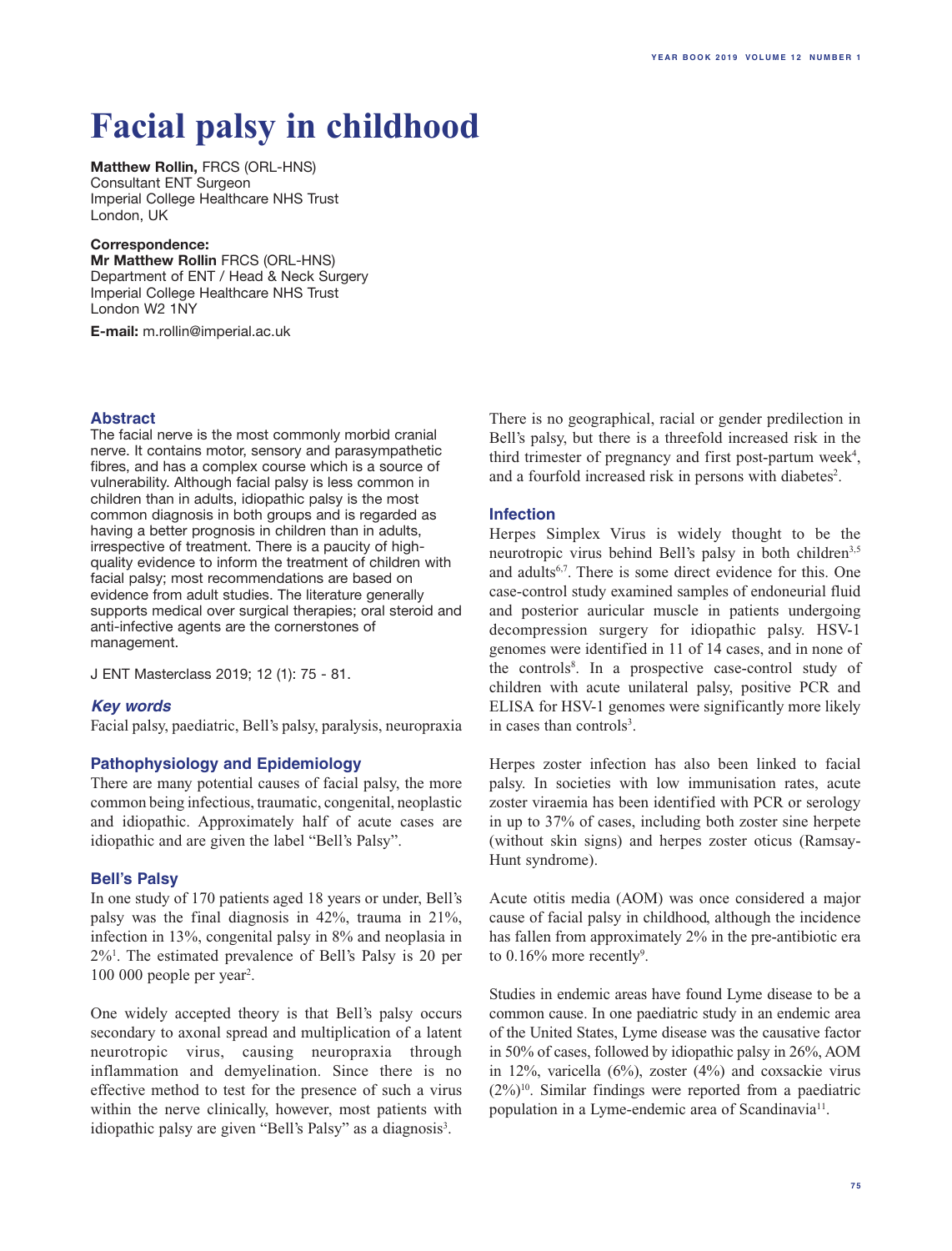# **Facial palsy in childhood**

**Matthew Rollin,** FRCS (ORL-HNS) Consultant ENT Surgeon Imperial College Healthcare NHS Trust London, UK

#### **Correspondence:**

**Mr Matthew Rollin** FRCS (ORL-HNS) Department of ENT / Head & Neck Surgery Imperial College Healthcare NHS Trust London W2 1NY

**E-mail:** m.rollin@imperial.ac.uk

# **Abstract**

The facial nerve is the most commonly morbid cranial nerve. It contains motor, sensory and parasympathetic fibres, and has a complex course which is a source of vulnerability. Although facial palsy is less common in children than in adults, idiopathic palsy is the most common diagnosis in both groups and is regarded as having a better prognosis in children than in adults, irrespective of treatment. There is a paucity of highquality evidence to inform the treatment of children with facial palsy; most recommendations are based on evidence from adult studies. The literature generally supports medical over surgical therapies; oral steroid and anti-infective agents are the cornerstones of management.

J ENT Masterclass 2019; 12 (1): 75 - 81.

# *Key words*

Facial palsy, paediatric, Bell's palsy, paralysis, neuropraxia

# **Pathophysiology and Epidemiology**

There are many potential causes of facial palsy, the more common being infectious, traumatic, congenital, neoplastic and idiopathic. Approximately half of acute cases are idiopathic and are given the label "Bell's Palsy".

#### **Bell's Palsy**

In one study of 170 patients aged 18 years or under, Bell's palsy was the final diagnosis in 42%, trauma in 21%, infection in 13%, congenital palsy in 8% and neoplasia in 2%1 . The estimated prevalence of Bell's Palsy is 20 per 100 000 people per year<sup>2</sup>.

One widely accepted theory is that Bell's palsy occurs secondary to axonal spread and multiplication of a latent neurotropic virus, causing neuropraxia through inflammation and demyelination. Since there is no effective method to test for the presence of such a virus within the nerve clinically, however, most patients with idiopathic palsy are given "Bell's Palsy" as a diagnosis<sup>3</sup>.

There is no geographical, racial or gender predilection in Bell's palsy, but there is a threefold increased risk in the third trimester of pregnancy and first post-partum week<sup>4</sup>, and a fourfold increased risk in persons with diabetes<sup>2</sup>.

# **Infection**

Herpes Simplex Virus is widely thought to be the neurotropic virus behind Bell's palsy in both children<sup>3,5</sup> and adults6,7. There is some direct evidence for this. One case-control study examined samples of endoneurial fluid and posterior auricular muscle in patients undergoing decompression surgery for idiopathic palsy. HSV-1 genomes were identified in 11 of 14 cases, and in none of the controls<sup>8</sup>. In a prospective case-control study of children with acute unilateral palsy, positive PCR and ELISA for HSV-1 genomes were significantly more likely in cases than controls<sup>3</sup>.

Herpes zoster infection has also been linked to facial palsy. In societies with low immunisation rates, acute zoster viraemia has been identified with PCR or serology in up to 37% of cases, including both zoster sine herpete (without skin signs) and herpes zoster oticus (Ramsay-Hunt syndrome).

Acute otitis media (AOM) was once considered a major cause of facial palsy in childhood, although the incidence has fallen from approximately 2% in the pre-antibiotic era to  $0.16\%$  more recently<sup>9</sup>.

Studies in endemic areas have found Lyme disease to be a common cause. In one paediatric study in an endemic area of the United States, Lyme disease was the causative factor in 50% of cases, followed by idiopathic palsy in 26%, AOM in 12%, varicella  $(6\%)$ , zoster  $(4\%)$  and coxsackie virus  $(2\%)^{10}$ . Similar findings were reported from a paediatric population in a Lyme-endemic area of Scandinavia<sup>11</sup>.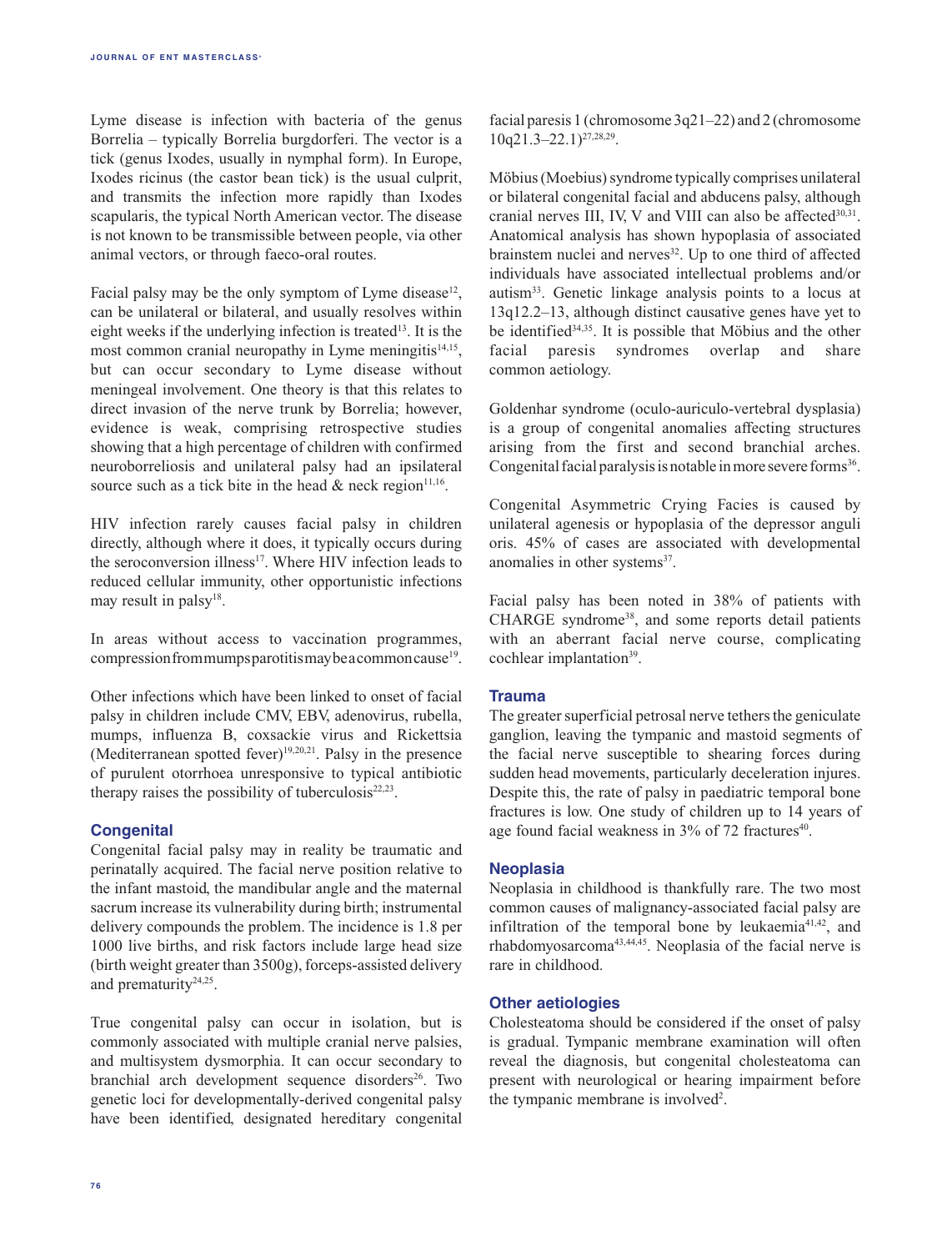Lyme disease is infection with bacteria of the genus Borrelia – typically Borrelia burgdorferi. The vector is a tick (genus Ixodes, usually in nymphal form). In Europe, Ixodes ricinus (the castor bean tick) is the usual culprit, and transmits the infection more rapidly than Ixodes scapularis, the typical North American vector. The disease is not known to be transmissible between people, via other animal vectors, or through faeco-oral routes.

Facial palsy may be the only symptom of Lyme disease<sup>12</sup>, can be unilateral or bilateral, and usually resolves within eight weeks if the underlying infection is treated<sup>13</sup>. It is the most common cranial neuropathy in Lyme meningitis<sup>14,15</sup>, but can occur secondary to Lyme disease without meningeal involvement. One theory is that this relates to direct invasion of the nerve trunk by Borrelia; however, evidence is weak, comprising retrospective studies showing that a high percentage of children with confirmed neuroborreliosis and unilateral palsy had an ipsilateral source such as a tick bite in the head  $\&$  neck region<sup>11,16</sup>.

HIV infection rarely causes facial palsy in children directly, although where it does, it typically occurs during the seroconversion illness<sup>17</sup>. Where HIV infection leads to reduced cellular immunity, other opportunistic infections may result in palsy<sup>18</sup>.

In areas without access to vaccination programmes, compression from mumps parotitis may be a common cause<sup>19</sup>.

Other infections which have been linked to onset of facial palsy in children include CMV, EBV, adenovirus, rubella, mumps, influenza B, coxsackie virus and Rickettsia (Mediterranean spotted fever) $19,20,21$ . Palsy in the presence of purulent otorrhoea unresponsive to typical antibiotic therapy raises the possibility of tuberculosis $22,23$ .

## **Congenital**

Congenital facial palsy may in reality be traumatic and perinatally acquired. The facial nerve position relative to the infant mastoid, the mandibular angle and the maternal sacrum increase its vulnerability during birth; instrumental delivery compounds the problem. The incidence is 1.8 per 1000 live births, and risk factors include large head size (birth weight greater than 3500g), forceps-assisted delivery and prematurity<sup>24,25</sup>.

True congenital palsy can occur in isolation, but is commonly associated with multiple cranial nerve palsies, and multisystem dysmorphia. It can occur secondary to branchial arch development sequence disorders<sup>26</sup>. Two genetic loci for developmentally-derived congenital palsy have been identified, designated hereditary congenital facial paresis 1 (chromosome 3q21–22) and 2 (chromosome  $10q21.3-22.1$ <sup>27,28,29</sup>.

Möbius (Moebius) syndrome typically comprises unilateral or bilateral congenital facial and abducens palsy, although cranial nerves III, IV, V and VIII can also be affected $30,31$ . Anatomical analysis has shown hypoplasia of associated brainstem nuclei and nerves<sup>32</sup>. Up to one third of affected individuals have associated intellectual problems and/or autism33. Genetic linkage analysis points to a locus at 13q12.2–13, although distinct causative genes have yet to be identified34,35. It is possible that Möbius and the other facial paresis syndromes overlap and share common aetiology.

Goldenhar syndrome (oculo-auriculo-vertebral dysplasia) is a group of congenital anomalies affecting structures arising from the first and second branchial arches. Congenital facial paralysis is notable in more severe forms $36$ .

Congenital Asymmetric Crying Facies is caused by unilateral agenesis or hypoplasia of the depressor anguli oris. 45% of cases are associated with developmental anomalies in other systems<sup>37</sup>.

Facial palsy has been noted in 38% of patients with CHARGE syndrome<sup>38</sup>, and some reports detail patients with an aberrant facial nerve course, complicating cochlear implantation<sup>39</sup>.

## **Trauma**

The greater superficial petrosal nerve tethers the geniculate ganglion, leaving the tympanic and mastoid segments of the facial nerve susceptible to shearing forces during sudden head movements, particularly deceleration injures. Despite this, the rate of palsy in paediatric temporal bone fractures is low. One study of children up to 14 years of age found facial weakness in  $3\%$  of 72 fractures<sup>40</sup>.

## **Neoplasia**

Neoplasia in childhood is thankfully rare. The two most common causes of malignancy-associated facial palsy are infiltration of the temporal bone by leukaemia<sup>41,42</sup>, and rhabdomyosarcoma43,44,45. Neoplasia of the facial nerve is rare in childhood.

## **Other aetiologies**

Cholesteatoma should be considered if the onset of palsy is gradual. Tympanic membrane examination will often reveal the diagnosis, but congenital cholesteatoma can present with neurological or hearing impairment before the tympanic membrane is involved<sup>2</sup>.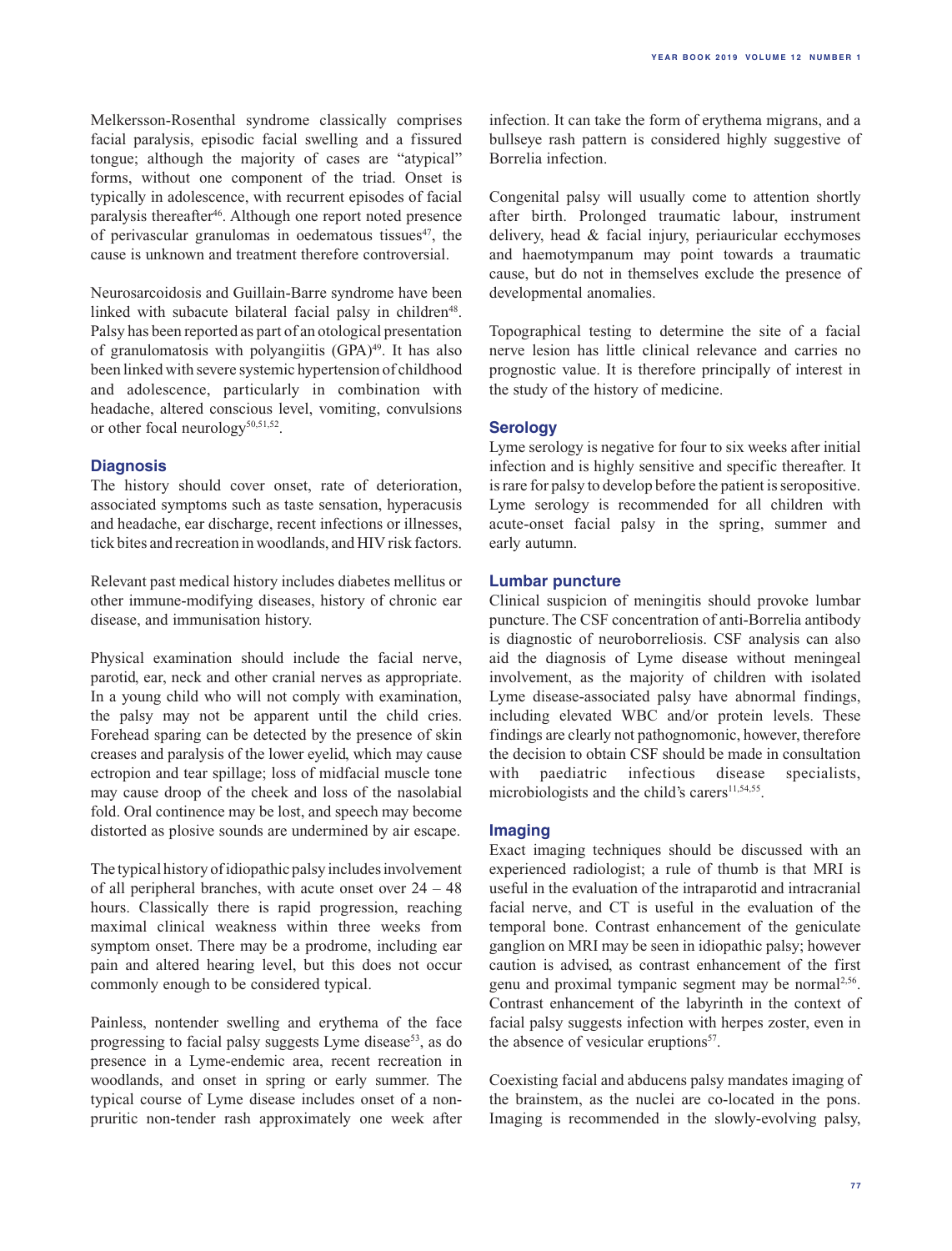Melkersson-Rosenthal syndrome classically comprises facial paralysis, episodic facial swelling and a fissured tongue; although the majority of cases are "atypical" forms, without one component of the triad. Onset is typically in adolescence, with recurrent episodes of facial paralysis thereafter<sup>46</sup>. Although one report noted presence of perivascular granulomas in oedematous tissues $47$ , the cause is unknown and treatment therefore controversial.

Neurosarcoidosis and Guillain-Barre syndrome have been linked with subacute bilateral facial palsy in children<sup>48</sup>. Palsy has been reported as part of an otological presentation of granulomatosis with polyangiitis (GPA)<sup>49</sup>. It has also been linked with severe systemic hypertension of childhood and adolescence, particularly in combination with headache, altered conscious level, vomiting, convulsions or other focal neurology<sup>50,51,52</sup>.

# **Diagnosis**

The history should cover onset, rate of deterioration, associated symptoms such as taste sensation, hyperacusis and headache, ear discharge, recent infections or illnesses, tick bites and recreation in woodlands, and HIV risk factors.

Relevant past medical history includes diabetes mellitus or other immune-modifying diseases, history of chronic ear disease, and immunisation history.

Physical examination should include the facial nerve, parotid, ear, neck and other cranial nerves as appropriate. In a young child who will not comply with examination, the palsy may not be apparent until the child cries. Forehead sparing can be detected by the presence of skin creases and paralysis of the lower eyelid, which may cause ectropion and tear spillage; loss of midfacial muscle tone may cause droop of the cheek and loss of the nasolabial fold. Oral continence may be lost, and speech may become distorted as plosive sounds are undermined by air escape.

The typical history of idiopathic palsy includes involvement of all peripheral branches, with acute onset over 24 – 48 hours. Classically there is rapid progression, reaching maximal clinical weakness within three weeks from symptom onset. There may be a prodrome, including ear pain and altered hearing level, but this does not occur commonly enough to be considered typical.

Painless, nontender swelling and erythema of the face progressing to facial palsy suggests Lyme disease<sup>53</sup>, as do presence in a Lyme-endemic area, recent recreation in woodlands, and onset in spring or early summer. The typical course of Lyme disease includes onset of a nonpruritic non-tender rash approximately one week after

infection. It can take the form of erythema migrans, and a bullseye rash pattern is considered highly suggestive of Borrelia infection.

**YEAR BOOK 2019 vo lum e 12 num ber 1**

Congenital palsy will usually come to attention shortly after birth. Prolonged traumatic labour, instrument delivery, head & facial injury, periauricular ecchymoses and haemotympanum may point towards a traumatic cause, but do not in themselves exclude the presence of developmental anomalies.

Topographical testing to determine the site of a facial nerve lesion has little clinical relevance and carries no prognostic value. It is therefore principally of interest in the study of the history of medicine.

# **Serology**

Lyme serology is negative for four to six weeks after initial infection and is highly sensitive and specific thereafter. It is rare for palsy to develop before the patient is seropositive. Lyme serology is recommended for all children with acute-onset facial palsy in the spring, summer and early autumn.

# **Lumbar puncture**

Clinical suspicion of meningitis should provoke lumbar puncture. The CSF concentration of anti-Borrelia antibody is diagnostic of neuroborreliosis. CSF analysis can also aid the diagnosis of Lyme disease without meningeal involvement, as the majority of children with isolated Lyme disease-associated palsy have abnormal findings, including elevated WBC and/or protein levels. These findings are clearly not pathognomonic, however, therefore the decision to obtain CSF should be made in consultation with paediatric infectious disease specialists, microbiologists and the child's carers $11,54,55$ .

# **Imaging**

Exact imaging techniques should be discussed with an experienced radiologist; a rule of thumb is that MRI is useful in the evaluation of the intraparotid and intracranial facial nerve, and CT is useful in the evaluation of the temporal bone. Contrast enhancement of the geniculate ganglion on MRI may be seen in idiopathic palsy; however caution is advised, as contrast enhancement of the first genu and proximal tympanic segment may be normal2,56. Contrast enhancement of the labyrinth in the context of facial palsy suggests infection with herpes zoster, even in the absence of vesicular eruptions<sup>57</sup>.

Coexisting facial and abducens palsy mandates imaging of the brainstem, as the nuclei are co-located in the pons. Imaging is recommended in the slowly-evolving palsy,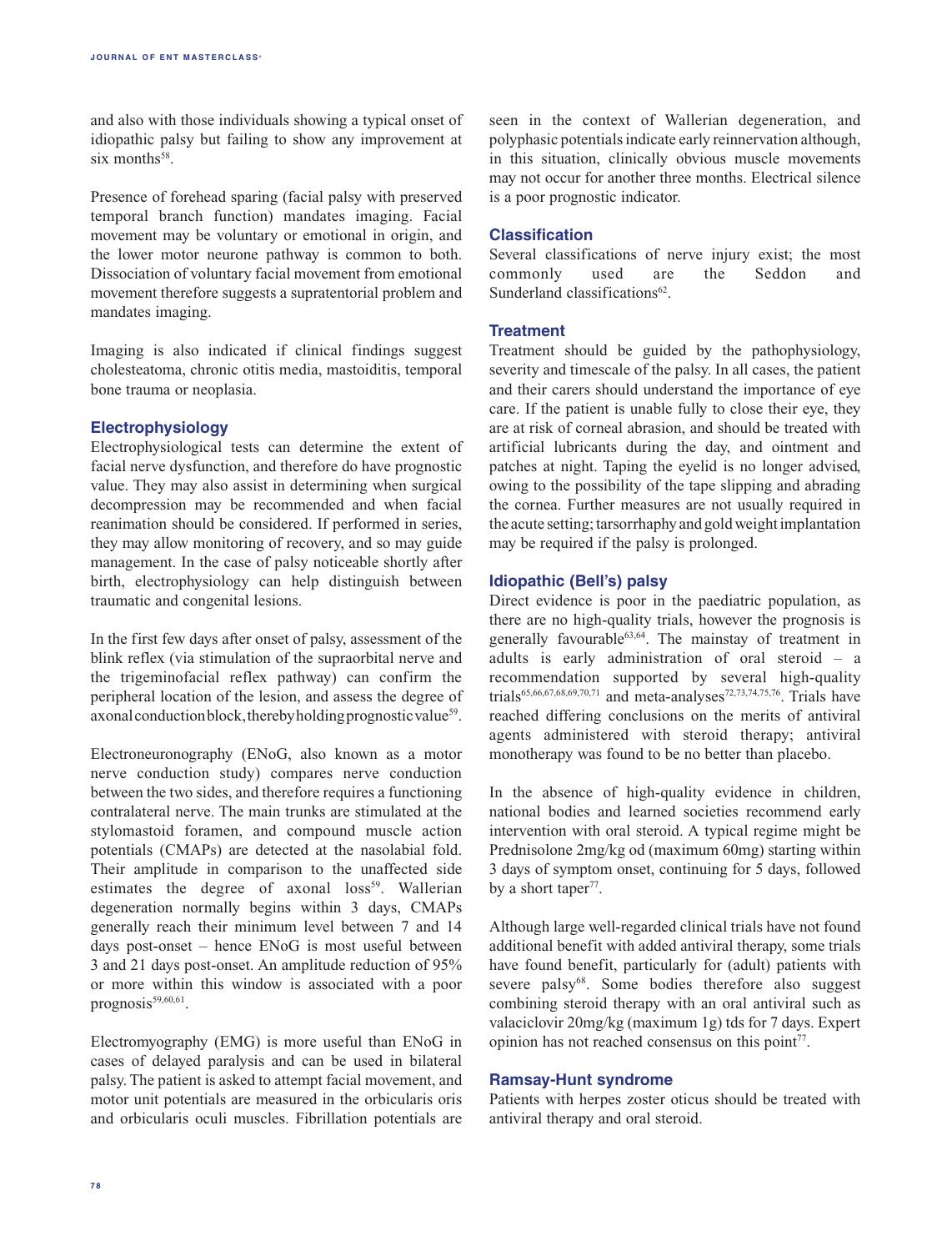and also with those individuals showing a typical onset of idiopathic palsy but failing to show any improvement at six months $58$ .

Presence of forehead sparing (facial palsy with preserved temporal branch function) mandates imaging. Facial movement may be voluntary or emotional in origin, and the lower motor neurone pathway is common to both. Dissociation of voluntary facial movement from emotional movement therefore suggests a supratentorial problem and mandates imaging.

Imaging is also indicated if clinical findings suggest cholesteatoma, chronic otitis media, mastoiditis, temporal bone trauma or neoplasia.

# **Electrophysiology**

Electrophysiological tests can determine the extent of facial nerve dysfunction, and therefore do have prognostic value. They may also assist in determining when surgical decompression may be recommended and when facial reanimation should be considered. If performed in series, they may allow monitoring of recovery, and so may guide management. In the case of palsy noticeable shortly after birth, electrophysiology can help distinguish between traumatic and congenital lesions.

In the first few days after onset of palsy, assessment of the blink reflex (via stimulation of the supraorbital nerve and the trigeminofacial reflex pathway) can confirm the peripheral location of the lesion, and assess the degree of  $axonal conduction block, thereby holding proposition values<sup>59</sup>.$ 

Electroneuronography (ENoG, also known as a motor nerve conduction study) compares nerve conduction between the two sides, and therefore requires a functioning contralateral nerve. The main trunks are stimulated at the stylomastoid foramen, and compound muscle action potentials (CMAPs) are detected at the nasolabial fold. Their amplitude in comparison to the unaffected side estimates the degree of axonal loss<sup>59</sup>. Wallerian degeneration normally begins within 3 days, CMAPs generally reach their minimum level between 7 and 14 days post-onset – hence ENoG is most useful between 3 and 21 days post-onset. An amplitude reduction of 95% or more within this window is associated with a poor prognosis<sup>59,60,61</sup>.

Electromyography (EMG) is more useful than ENoG in cases of delayed paralysis and can be used in bilateral palsy. The patient is asked to attempt facial movement, and motor unit potentials are measured in the orbicularis oris and orbicularis oculi muscles. Fibrillation potentials are

seen in the context of Wallerian degeneration, and polyphasic potentials indicate early reinnervation although, in this situation, clinically obvious muscle movements may not occur for another three months. Electrical silence is a poor prognostic indicator.

## **Classification**

Several classifications of nerve injury exist; the most commonly used are the Seddon and Sunderland classifications<sup>62</sup>

## **Treatment**

Treatment should be guided by the pathophysiology, severity and timescale of the palsy. In all cases, the patient and their carers should understand the importance of eye care. If the patient is unable fully to close their eye, they are at risk of corneal abrasion, and should be treated with artificial lubricants during the day, and ointment and patches at night. Taping the eyelid is no longer advised, owing to the possibility of the tape slipping and abrading the cornea. Further measures are not usually required in the acute setting; tarsorrhaphy and gold weight implantation may be required if the palsy is prolonged.

# **Idiopathic (Bell's) palsy**

Direct evidence is poor in the paediatric population, as there are no high-quality trials, however the prognosis is generally favourable63,64. The mainstay of treatment in adults is early administration of oral steroid – a recommendation supported by several high-quality trials<sup>65,66,67,68,69,70,71</sup> and meta-analyses<sup>72,73,74,75,76</sup>. Trials have reached differing conclusions on the merits of antiviral agents administered with steroid therapy; antiviral monotherapy was found to be no better than placebo.

In the absence of high-quality evidence in children, national bodies and learned societies recommend early intervention with oral steroid. A typical regime might be Prednisolone 2mg/kg od (maximum 60mg) starting within 3 days of symptom onset, continuing for 5 days, followed by a short taper<sup>77</sup>.

Although large well-regarded clinical trials have not found additional benefit with added antiviral therapy, some trials have found benefit, particularly for (adult) patients with severe palsy<sup>68</sup>. Some bodies therefore also suggest combining steroid therapy with an oral antiviral such as valaciclovir 20mg/kg (maximum 1g) tds for 7 days. Expert opinion has not reached consensus on this point<sup>77</sup>.

## **Ramsay-Hunt syndrome**

Patients with herpes zoster oticus should be treated with antiviral therapy and oral steroid.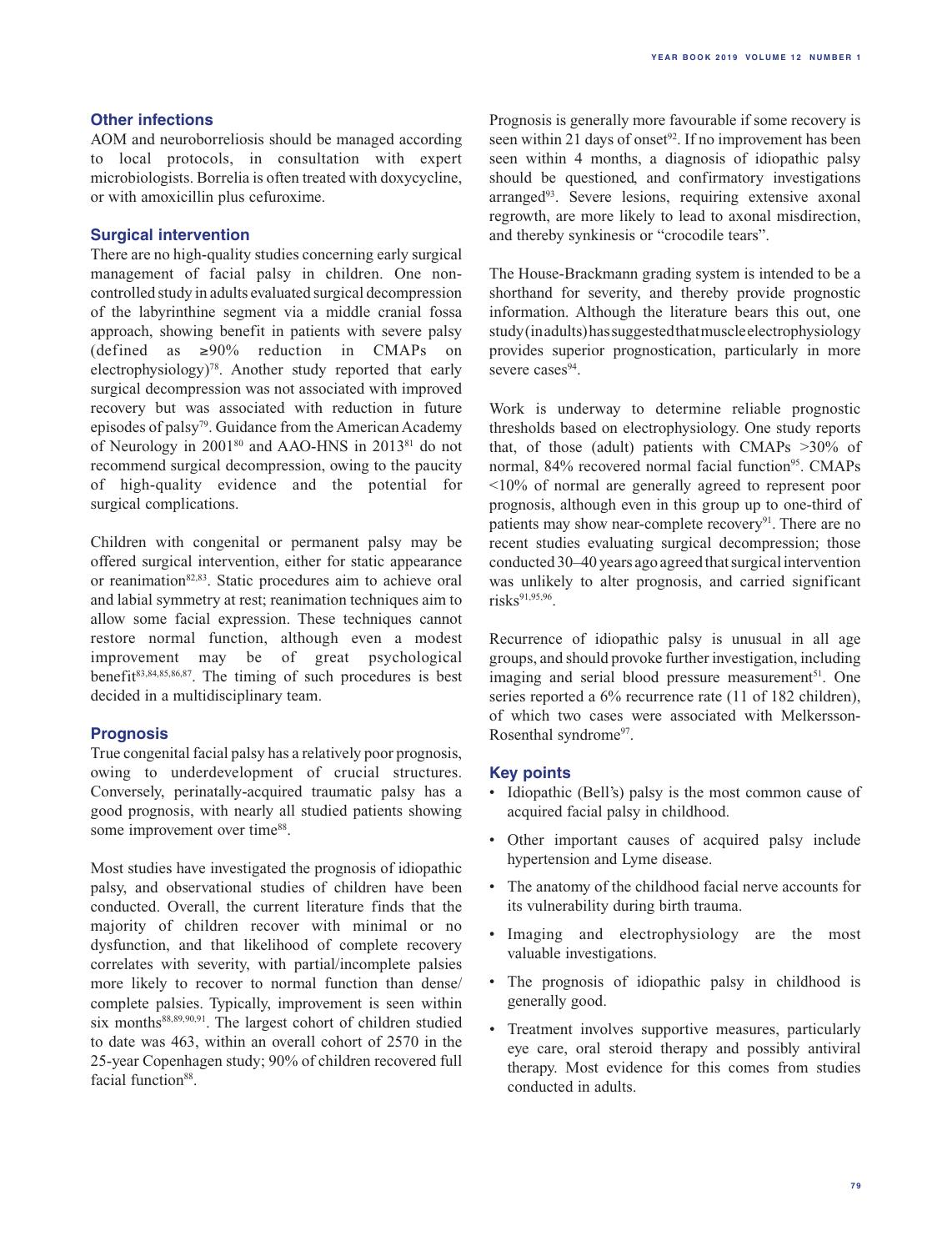# **Other infections**

AOM and neuroborreliosis should be managed according to local protocols, in consultation with expert microbiologists. Borrelia is often treated with doxycycline, or with amoxicillin plus cefuroxime.

# **Surgical intervention**

There are no high-quality studies concerning early surgical management of facial palsy in children. One noncontrolled study in adults evaluated surgical decompression of the labyrinthine segment via a middle cranial fossa approach, showing benefit in patients with severe palsy (defined as  $\geq 90\%$  reduction in CMAPs on electrophysiology)78. Another study reported that early surgical decompression was not associated with improved recovery but was associated with reduction in future episodes of palsy79. Guidance from the American Academy of Neurology in 200180 and AAO-HNS in 201381 do not recommend surgical decompression, owing to the paucity of high-quality evidence and the potential for surgical complications.

Children with congenital or permanent palsy may be offered surgical intervention, either for static appearance or reanimation<sup>82,83</sup>. Static procedures aim to achieve oral and labial symmetry at rest; reanimation techniques aim to allow some facial expression. These techniques cannot restore normal function, although even a modest improvement may be of great psychological benefit $83,84,85,86,87$ . The timing of such procedures is best decided in a multidisciplinary team.

## **Prognosis**

True congenital facial palsy has a relatively poor prognosis, owing to underdevelopment of crucial structures. Conversely, perinatally-acquired traumatic palsy has a good prognosis, with nearly all studied patients showing some improvement over time<sup>88</sup>.

Most studies have investigated the prognosis of idiopathic palsy, and observational studies of children have been conducted. Overall, the current literature finds that the majority of children recover with minimal or no dysfunction, and that likelihood of complete recovery correlates with severity, with partial/incomplete palsies more likely to recover to normal function than dense/ complete palsies. Typically, improvement is seen within six months $88,89,90,91$ . The largest cohort of children studied to date was 463, within an overall cohort of 2570 in the 25-year Copenhagen study; 90% of children recovered full facial function<sup>88</sup>.

Prognosis is generally more favourable if some recovery is seen within 21 days of onset<sup>92</sup>. If no improvement has been seen within 4 months, a diagnosis of idiopathic palsy should be questioned, and confirmatory investigations arranged<sup>93</sup>. Severe lesions, requiring extensive axonal regrowth, are more likely to lead to axonal misdirection, and thereby synkinesis or "crocodile tears".

The House-Brackmann grading system is intended to be a shorthand for severity, and thereby provide prognostic information. Although the literature bears this out, one study (in adults) has suggested that muscle electrophysiology provides superior prognostication, particularly in more severe cases<sup>94</sup>.

Work is underway to determine reliable prognostic thresholds based on electrophysiology. One study reports that, of those (adult) patients with CMAPs >30% of normal, 84% recovered normal facial function<sup>95</sup>. CMAPs <10% of normal are generally agreed to represent poor prognosis, although even in this group up to one-third of patients may show near-complete recovery $91$ . There are no recent studies evaluating surgical decompression; those conducted 30–40 years ago agreed that surgical intervention was unlikely to alter prognosis, and carried significant  $risks^{91,95,96}$ .

Recurrence of idiopathic palsy is unusual in all age groups, and should provoke further investigation, including imaging and serial blood pressure measurement<sup>51</sup>. One series reported a 6% recurrence rate (11 of 182 children), of which two cases were associated with Melkersson-Rosenthal syndrome<sup>97</sup>.

## **Key points**

- Idiopathic (Bell's) palsy is the most common cause of acquired facial palsy in childhood.
- • Other important causes of acquired palsy include hypertension and Lyme disease.
- • The anatomy of the childhood facial nerve accounts for its vulnerability during birth trauma.
- Imaging and electrophysiology are the most valuable investigations.
- • The prognosis of idiopathic palsy in childhood is generally good.
- Treatment involves supportive measures, particularly eye care, oral steroid therapy and possibly antiviral therapy. Most evidence for this comes from studies conducted in adults.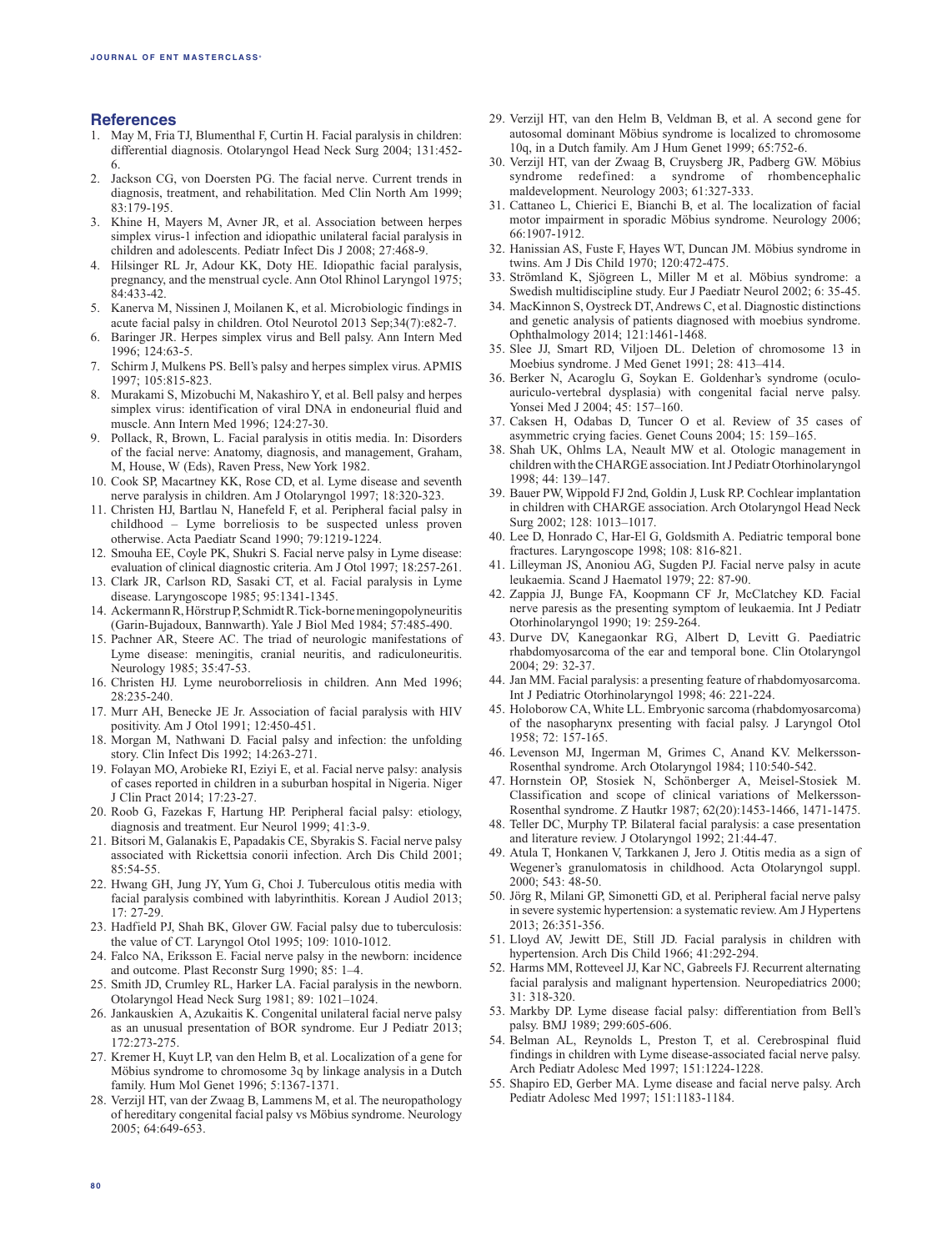## **References**

- 1. May M, Fria TJ, Blumenthal F, Curtin H. Facial paralysis in children: differential diagnosis. Otolaryngol Head Neck Surg 2004; 131:452- 6.
- 2. Jackson CG, von Doersten PG. The facial nerve. Current trends in diagnosis, treatment, and rehabilitation. Med Clin North Am 1999; 83:179-195.
- 3. Khine H, Mayers M, Avner JR, et al. Association between herpes simplex virus-1 infection and idiopathic unilateral facial paralysis in children and adolescents. Pediatr Infect Dis J 2008; 27:468-9.
- 4. Hilsinger RL Jr, Adour KK, Doty HE. Idiopathic facial paralysis, pregnancy, and the menstrual cycle. Ann Otol Rhinol Laryngol 1975; 84:433-42.
- 5. Kanerva M, Nissinen J, Moilanen K, et al. Microbiologic findings in acute facial palsy in children. Otol Neurotol 2013 Sep;34(7):e82-7.
- 6. Baringer JR. Herpes simplex virus and Bell palsy. Ann Intern Med 1996; 124:63-5.
- 7. Schirm J, Mulkens PS. Bell's palsy and herpes simplex virus. APMIS 1997; 105:815-823.
- 8. Murakami S, Mizobuchi M, Nakashiro Y, et al. Bell palsy and herpes simplex virus: identification of viral DNA in endoneurial fluid and muscle. Ann Intern Med 1996; 124:27-30.
- 9. Pollack, R, Brown, L. Facial paralysis in otitis media. In: Disorders of the facial nerve: Anatomy, diagnosis, and management, Graham, M, House, W (Eds), Raven Press, New York 1982.
- 10. Cook SP, Macartney KK, Rose CD, et al. Lyme disease and seventh nerve paralysis in children. Am J Otolaryngol 1997; 18:320-323.
- 11. Christen HJ, Bartlau N, Hanefeld F, et al. Peripheral facial palsy in childhood – Lyme borreliosis to be suspected unless proven otherwise. Acta Paediatr Scand 1990; 79:1219-1224.
- 12. Smouha EE, Coyle PK, Shukri S. Facial nerve palsy in Lyme disease: evaluation of clinical diagnostic criteria. Am J Otol 1997; 18:257-261.
- 13. Clark JR, Carlson RD, Sasaki CT, et al. Facial paralysis in Lyme disease. Laryngoscope 1985; 95:1341-1345.
- 14. Ackermann R, Hörstrup P, Schmidt R. Tick-borne meningopolyneuritis (Garin-Bujadoux, Bannwarth). Yale J Biol Med 1984; 57:485-490.
- 15. Pachner AR, Steere AC. The triad of neurologic manifestations of Lyme disease: meningitis, cranial neuritis, and radiculoneuritis. Neurology 1985; 35:47-53.
- 16. Christen HJ. Lyme neuroborreliosis in children. Ann Med 1996; 28:235-240.
- 17. Murr AH, Benecke JE Jr. Association of facial paralysis with HIV positivity. Am J Otol 1991; 12:450-451.
- 18. Morgan M, Nathwani D. Facial palsy and infection: the unfolding story. Clin Infect Dis 1992; 14:263-271.
- 19. Folayan MO, Arobieke RI, Eziyi E, et al. Facial nerve palsy: analysis of cases reported in children in a suburban hospital in Nigeria. Niger J Clin Pract 2014; 17:23-27.
- 20. Roob G, Fazekas F, Hartung HP. Peripheral facial palsy: etiology, diagnosis and treatment. Eur Neurol 1999; 41:3-9.
- 21. Bitsori M, Galanakis E, Papadakis CE, Sbyrakis S. Facial nerve palsy associated with Rickettsia conorii infection. Arch Dis Child 2001; 85:54-55.
- 22. Hwang GH, Jung JY, Yum G, Choi J. Tuberculous otitis media with facial paralysis combined with labyrinthitis. Korean J Audiol 2013; 17: 27-29.
- 23. Hadfield PJ, Shah BK, Glover GW. Facial palsy due to tuberculosis: the value of CT. Laryngol Otol 1995; 109: 1010-1012.
- 24. Falco NA, Eriksson E. Facial nerve palsy in the newborn: incidence and outcome. Plast Reconstr Surg 1990; 85: 1–4.
- 25. Smith JD, Crumley RL, Harker LA. Facial paralysis in the newborn. Otolaryngol Head Neck Surg 1981; 89: 1021–1024.
- 26. Jankauskien A, Azukaitis K. Congenital unilateral facial nerve palsy as an unusual presentation of BOR syndrome. Eur J Pediatr 2013; 172:273-275.
- 27. Kremer H, Kuyt LP, van den Helm B, et al. Localization of a gene for Möbius syndrome to chromosome 3q by linkage analysis in a Dutch family. Hum Mol Genet 1996; 5:1367-1371.
- 28. Verzijl HT, van der Zwaag B, Lammens M, et al. The neuropathology of hereditary congenital facial palsy vs Möbius syndrome. Neurology 2005; 64:649-653.
- 29. Verzijl HT, van den Helm B, Veldman B, et al. A second gene for autosomal dominant Möbius syndrome is localized to chromosome 10q, in a Dutch family. Am J Hum Genet 1999; 65:752-6.
- 30. Verzijl HT, van der Zwaag B, Cruysberg JR, Padberg GW. Möbius syndrome redefined: a syndrome of rhombencephalic maldevelopment. Neurology 2003; 61:327-333.
- 31. Cattaneo L, Chierici E, Bianchi B, et al. The localization of facial motor impairment in sporadic Möbius syndrome. Neurology 2006; 66:1907-1912.
- 32. Hanissian AS, Fuste F, Hayes WT, Duncan JM. Möbius syndrome in twins. Am J Dis Child 1970; 120:472-475.
- 33. Strömland K, Sjögreen L, Miller M et al. Möbius syndrome: a Swedish multidiscipline study. Eur J Paediatr Neurol 2002; 6: 35-45.
- 34. MacKinnon S, Oystreck DT, Andrews C, et al. Diagnostic distinctions and genetic analysis of patients diagnosed with moebius syndrome. Ophthalmology 2014; 121:1461-1468.
- 35. Slee JJ, Smart RD, Viljoen DL. Deletion of chromosome 13 in Moebius syndrome. J Med Genet 1991; 28: 413–414.
- 36. Berker N, Acaroglu G, Soykan E. Goldenhar's syndrome (oculoauriculo-vertebral dysplasia) with congenital facial nerve palsy. Yonsei Med J 2004; 45: 157–160.
- 37. Caksen H, Odabas D, Tuncer O et al. Review of 35 cases of asymmetric crying facies. Genet Couns 2004; 15: 159–165.
- 38. Shah UK, Ohlms LA, Neault MW et al. Otologic management in children with the CHARGE association. Int J Pediatr Otorhinolaryngol 1998; 44: 139–147.
- 39. Bauer PW, Wippold FJ 2nd, Goldin J, Lusk RP. Cochlear implantation in children with CHARGE association. Arch Otolaryngol Head Neck Surg 2002; 128: 1013–1017.
- 40. Lee D, Honrado C, Har-El G, Goldsmith A. Pediatric temporal bone fractures. Laryngoscope 1998; 108: 816-821.
- 41. Lilleyman JS, Anoniou AG, Sugden PJ. Facial nerve palsy in acute leukaemia. Scand J Haematol 1979; 22: 87-90.
- 42. Zappia JJ, Bunge FA, Koopmann CF Jr, McClatchey KD. Facial nerve paresis as the presenting symptom of leukaemia. Int J Pediatr Otorhinolaryngol 1990; 19: 259-264.
- 43. Durve DV, Kanegaonkar RG, Albert D, Levitt G. Paediatric rhabdomyosarcoma of the ear and temporal bone. Clin Otolaryngol 2004; 29: 32-37.
- 44. Jan MM. Facial paralysis: a presenting feature of rhabdomyosarcoma. Int J Pediatric Otorhinolaryngol 1998; 46: 221-224.
- 45. Holoborow CA, White LL. Embryonic sarcoma (rhabdomyosarcoma) of the nasopharynx presenting with facial palsy. J Laryngol Otol 1958; 72: 157-165.
- 46. Levenson MJ, Ingerman M, Grimes C, Anand KV. Melkersson-Rosenthal syndrome. Arch Otolaryngol 1984; 110:540-542.
- 47. Hornstein OP, Stosiek N, Schönberger A, Meisel-Stosiek M. Classification and scope of clinical variations of Melkersson-Rosenthal syndrome. Z Hautkr 1987; 62(20):1453-1466, 1471-1475.
- 48. Teller DC, Murphy TP. Bilateral facial paralysis: a case presentation and literature review. J Otolaryngol 1992; 21:44-47.
- 49. Atula T, Honkanen V, Tarkkanen J, Jero J. Otitis media as a sign of Wegener's granulomatosis in childhood. Acta Otolaryngol suppl. 2000; 543: 48-50.
- 50. Jörg R, Milani GP, Simonetti GD, et al. Peripheral facial nerve palsy in severe systemic hypertension: a systematic review. Am J Hypertens 2013; 26:351-356.
- 51. Lloyd AV, Jewitt DE, Still JD. Facial paralysis in children with hypertension. Arch Dis Child 1966; 41:292-294.
- 52. Harms MM, Rotteveel JJ, Kar NC, Gabreels FJ. Recurrent alternating facial paralysis and malignant hypertension. Neuropediatrics 2000; 31: 318-320.
- 53. Markby DP. Lyme disease facial palsy: differentiation from Bell's palsy. BMJ 1989; 299:605-606.
- 54. Belman AL, Reynolds L, Preston T, et al. Cerebrospinal fluid findings in children with Lyme disease-associated facial nerve palsy. Arch Pediatr Adolesc Med 1997; 151:1224-1228.
- 55. Shapiro ED, Gerber MA. Lyme disease and facial nerve palsy. Arch Pediatr Adolesc Med 1997; 151:1183-1184.